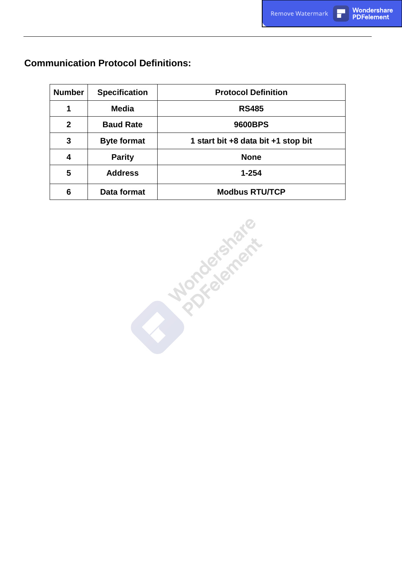## **Communication Protocol Definitions:**

| <b>Number</b> | <b>Specification</b> | <b>Protocol Definition</b>          |
|---------------|----------------------|-------------------------------------|
| 1             | <b>Media</b>         | <b>RS485</b>                        |
| $\mathbf{2}$  | <b>Baud Rate</b>     | 9600BPS                             |
| 3             | <b>Byte format</b>   | 1 start bit +8 data bit +1 stop bit |
| 4             | <b>Parity</b>        | <b>None</b>                         |
| 5             | <b>Address</b>       | $1 - 254$                           |
| 6             | Data format          | <b>Modbus RTU/TCP</b>               |

**Mariagements**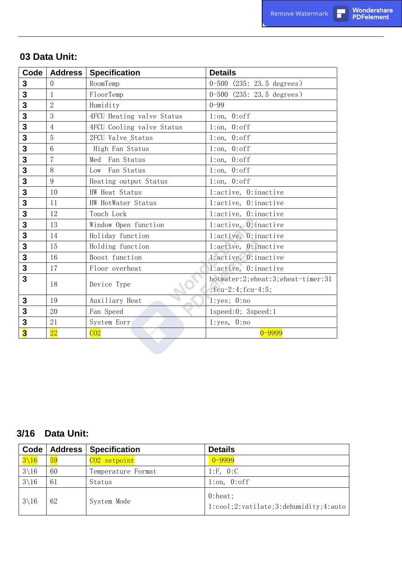### **0 03 Data Unit:**

| Code                    | <b>Address</b>  | <b>Specification</b>      | <b>Details</b>                      |  |
|-------------------------|-----------------|---------------------------|-------------------------------------|--|
| $\mathbf{3}$            | $\overline{0}$  | RoomTemp                  | $0-500$ (235: 23.5 degrees)         |  |
| $\overline{\mathbf{3}}$ | 1               | FloorTemp                 | $0-500$ (235: 23.5 degrees)         |  |
| $\mathbf{3}$            | $\overline{2}$  | Humidity                  | $0 - 99$                            |  |
| 3                       | 3               | 4FCU Heating valve Status | 1:on, 0:off                         |  |
| $\mathbf{3}$            | $\overline{4}$  | 4FCU Cooling valve Status | 1:on, 0:off                         |  |
| $\mathbf{3}$            | 5               | 2FCU Valve_Status         | 1:on, 0:off                         |  |
| $\mathbf{3}$            | 6               | High Fan Status           | 1:on, 0:off                         |  |
| $\mathbf{3}$            | $\overline{7}$  | Med Fan Status            | 1:on, 0:off                         |  |
| $\mathbf{3}$            | 8               | Low Fan Status            | 1:on, 0:off                         |  |
| $\mathbf{3}$            | 9               | Heating output Status     | 1:on, 0:off                         |  |
| $\mathbf{3}$            | 10              | HW Heat Status            | 1:active, 0:inactive                |  |
| $\mathbf{3}$            | 11              | HW HotWater Status        | 1:active, 0:inactive                |  |
| 3                       | 12              | Touch Lock                | 1:active, 0:inactive                |  |
| $\mathbf{3}$            | 13              | Window Open function      | 1:active, 0: inactive               |  |
| 3                       | 14              | Holiday function          | l:active, 0: inactive               |  |
| $\mathbf{3}$            | 15              | Holding function          | 1:active, 0:inactive                |  |
| $\mathbf{3}$            | 16              | Boost function            | 1:active, 0: inactive               |  |
| $\mathbf{3}$            | 17              | Floor overheat            | 1:active, 0:inactive                |  |
| $\overline{3}$          | 18              |                           | hotwater:2; eheat:3; eheat-timer:31 |  |
|                         |                 | Device Type               | ; $fcu-2:4$ ; $fcu-4:5$ ;           |  |
| $\mathbf{3}$            | 19              | Auxiliary Heat            | 1: yes; 0: no                       |  |
| $\mathbf{3}$            | 20              | Fan Speed                 | 1speed:0; 3speed:1                  |  |
| 3                       | 21              | System Eorr               | 1:yes, 0:no                         |  |
| $\overline{\mathbf{3}}$ | $\overline{22}$ | CO <sub>2</sub>           | $0 - 9999$                          |  |

## **S 0 3/16 Data Unit:**

| Code             | <b>Address</b> | <b>Specification</b> | <b>Details</b>                                             |
|------------------|----------------|----------------------|------------------------------------------------------------|
| $3\backslash 16$ | 59             | CO2 setpoint         | $0 - 99999$                                                |
| $3\backslash16$  | 60             | Temperature Format   | $1:$ F, $0:$ C                                             |
| $3\backslash16$  | 61             | Status               | 1:on, 0:off                                                |
| $3\backslash16$  | 62             | System Mode          | $0:\text{heat}$ ;<br>1:cool;2:vatilate;3:dehumidity;4:auto |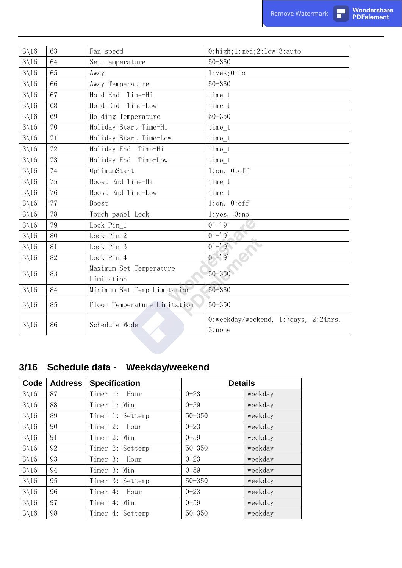| $3\backslash16$  | 63 | Fan speed                    | $0:$ high; $1:$ med; $2:$ low; $3:$ auto       |
|------------------|----|------------------------------|------------------------------------------------|
| $3\backslash16$  | 64 | Set temperature              | $50 - 350$                                     |
| $3\backslash16$  | 65 | Away                         | 1: yes; 0: no                                  |
| $3\backslash16$  | 66 | Away Temperature             | $50 - 350$                                     |
| $3\backslash16$  | 67 | Hold End<br>Time-Hi          | $time_t$                                       |
| $3\backslash 16$ | 68 | Hold End<br>Time-Low         | time t                                         |
| $3\backslash16$  | 69 | Holding Temperature          | $50 - 350$                                     |
| $3\backslash16$  | 70 | Holiday Start Time-Hi        | $time_t$                                       |
| $3\backslash16$  | 71 | Holiday Start Time-Low       | $time_t$                                       |
| $3\backslash 16$ | 72 | Holiday End<br>Time-Hi       | $time_t$                                       |
| $3\backslash 16$ | 73 | Holiday End<br>Time-Low      | time t                                         |
| $3\backslash16$  | 74 | OptimumStart                 | 1:on, 0:off                                    |
| $3\backslash16$  | 75 | Boost End Time-Hi            | $time_t$                                       |
| $3\backslash 16$ | 76 | Boost End Time-Low           | $time_t$                                       |
| $3\backslash 16$ | 77 | Boost                        | 1:on, 0:off                                    |
| $3\backslash 16$ | 78 | Touch panel Lock             | 1: yes, 0: no                                  |
| $3\backslash 16$ | 79 | Lock Pin 1                   | $0' - 9'$                                      |
| $3\backslash16$  | 80 | Lock Pin_2                   | $0' - 9'$                                      |
| $3\backslash16$  | 81 | Lock Pin 3                   | $0' - 9'$                                      |
| $3\backslash 16$ | 82 | Lock Pin 4                   | $0' - 9'$                                      |
| $3\backslash16$  | 83 | Maximum Set Temperature      | $50 - 350$                                     |
|                  |    | Limitation                   |                                                |
| $3\backslash16$  | 84 | Minimum Set Temp Limitation  | $50 - 350$                                     |
| $3\backslash16$  | 85 | Floor Temperature Limitation | $50 - 350$                                     |
| $3\backslash16$  | 86 | Schedule Mode                | 0:weekday/weekend, 1:7days, 2:24hrs,<br>3:none |

# **3/16 Schedule data - Weekday/weekend**

| Code            | <b>Address</b> | <b>Specification</b> | <b>Details</b> |         |
|-----------------|----------------|----------------------|----------------|---------|
| $3\backslash16$ | 87             | Timer 1:<br>Hour     | $0 - 23$       | weekday |
| $3\backslash16$ | 88             | Timer 1: Min         | $0 - 59$       | weekday |
| $3\backslash16$ | 89             | Timer 1: Settemp     | $50 - 350$     | weekday |
| $3\backslash16$ | 90             | Timer 2: Hour        | $0 - 23$       | weekday |
| $3\backslash16$ | 91             | Timer 2: Min         | $0 - 59$       | weekday |
| $3\backslash16$ | 92             | Timer 2: Settemp     | $50 - 350$     | weekday |
| $3\backslash16$ | 93             | Timer 3: Hour        | $0 - 23$       | weekday |
| $3\backslash16$ | 94             | Timer 3: Min         | $0 - 59$       | weekday |
| $3\backslash16$ | 95             | Timer 3: Settemp     | $50 - 350$     | weekday |
| $3\backslash16$ | 96             | Timer 4: Hour        | $0 - 23$       | weekday |
| $3\backslash16$ | 97             | Timer 4: Min         | $0 - 59$       | weekday |
| $3\backslash16$ | 98             | Timer 4: Settemp     | $50 - 350$     | weekday |

Wondershare<br>PDFelement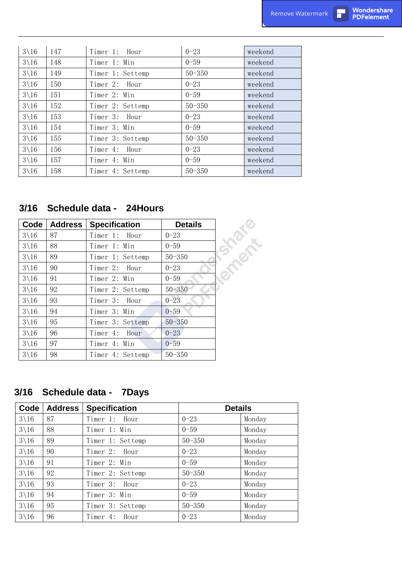| $3\backslash16$<br>$0 - 23$<br>147<br>Timer 1: Hour<br>weekend<br>$3\backslash16$<br>148<br>$0 - 59$<br>Timer 1: Min<br>weekend<br>$3\backslash16$<br>149<br>$50 - 350$<br>Timer 1: Settemp<br>weekend<br>$3\backslash16$<br>150<br>$0 - 23$<br>Timer 2:<br>Hour<br>weekend<br>$3\backslash16$<br>$0 - 59$<br>151<br>Timer 2: Min<br>weekend<br>$3\backslash16$<br>152<br>$50 - 350$<br>Timer 2: Settemp<br>weekend<br>$3\backslash16$<br>153<br>Timer 3: Hour<br>$0 - 23$<br>weekend<br>$3\backslash16$<br>$0 - 59$<br>154<br>Timer 3: Min<br>weekend<br>$3\backslash16$<br>$50 - 350$<br>155<br>Timer 3: Settemp<br>weekend<br>$3\backslash16$<br>156<br>$0 - 23$<br>Timer 4:<br>Hour<br>weekend<br>$3\backslash16$<br>157<br>$0 - 59$<br>Timer 4: Min<br>weekend<br>$3\backslash16$<br>158<br>$50 - 350$<br>Timer 4: Settemp<br>weekend |  |  |  |
|--------------------------------------------------------------------------------------------------------------------------------------------------------------------------------------------------------------------------------------------------------------------------------------------------------------------------------------------------------------------------------------------------------------------------------------------------------------------------------------------------------------------------------------------------------------------------------------------------------------------------------------------------------------------------------------------------------------------------------------------------------------------------------------------------------------------------------------------|--|--|--|
|                                                                                                                                                                                                                                                                                                                                                                                                                                                                                                                                                                                                                                                                                                                                                                                                                                            |  |  |  |
|                                                                                                                                                                                                                                                                                                                                                                                                                                                                                                                                                                                                                                                                                                                                                                                                                                            |  |  |  |
|                                                                                                                                                                                                                                                                                                                                                                                                                                                                                                                                                                                                                                                                                                                                                                                                                                            |  |  |  |
|                                                                                                                                                                                                                                                                                                                                                                                                                                                                                                                                                                                                                                                                                                                                                                                                                                            |  |  |  |
|                                                                                                                                                                                                                                                                                                                                                                                                                                                                                                                                                                                                                                                                                                                                                                                                                                            |  |  |  |
|                                                                                                                                                                                                                                                                                                                                                                                                                                                                                                                                                                                                                                                                                                                                                                                                                                            |  |  |  |
|                                                                                                                                                                                                                                                                                                                                                                                                                                                                                                                                                                                                                                                                                                                                                                                                                                            |  |  |  |
|                                                                                                                                                                                                                                                                                                                                                                                                                                                                                                                                                                                                                                                                                                                                                                                                                                            |  |  |  |
|                                                                                                                                                                                                                                                                                                                                                                                                                                                                                                                                                                                                                                                                                                                                                                                                                                            |  |  |  |
|                                                                                                                                                                                                                                                                                                                                                                                                                                                                                                                                                                                                                                                                                                                                                                                                                                            |  |  |  |
|                                                                                                                                                                                                                                                                                                                                                                                                                                                                                                                                                                                                                                                                                                                                                                                                                                            |  |  |  |
|                                                                                                                                                                                                                                                                                                                                                                                                                                                                                                                                                                                                                                                                                                                                                                                                                                            |  |  |  |

## **3/16 Schedule data - 24Hours**

| Code            | <b>Address</b> | <b>Specification</b> | <b>Details</b> |
|-----------------|----------------|----------------------|----------------|
| $3\backslash16$ | 87             | Timer 1: Hour        | $0 - 23$       |
| $3\backslash16$ | 88             | Timer 1: Min         | $0 - 59$       |
| $3\backslash16$ | 89             | Timer 1: Settemp     | $50 - 350$     |
| $3\backslash16$ | 90             | Timer 2: Hour        | $0 - 23$       |
| $3\backslash16$ | 91             | Timer 2: Min         | $0 - 59$       |
| $3\backslash16$ | 92             | Timer 2: Settemp     | $50 - 350$     |
| $3\backslash16$ | 93             | Timer 3: Hour        | $0 - 23$       |
| $3\backslash16$ | 94             | Timer 3: Min         | $0 - 59$       |
| $3\backslash16$ | 95             | Timer 3: Settemp     | $50 - 350$     |
| $3\backslash16$ | 96             | Timer 4: Hour        | $0 - 23$       |
| $3\backslash16$ | 97             | Timer 4: Min         | $0 - 59$       |
| $3\backslash16$ | 98             | Timer 4: Settemp     | $50 - 350$     |

# **3/16 Schedule data - 7Days**

| Code            | <b>Address</b> | <b>Specification</b> | <b>Details</b> |        |
|-----------------|----------------|----------------------|----------------|--------|
| $3\backslash16$ | 87             | Timer 1: Hour        | $0 - 23$       | Monday |
| $3\backslash16$ | 88             | Timer 1: Min         | $0 - 59$       | Monday |
| $3\backslash16$ | 89             | Timer 1: Settemp     | $50 - 350$     | Monday |
| $3\backslash16$ | 90             | Timer 2: Hour        | $0 - 23$       | Monday |
| $3\backslash16$ | 91             | Timer 2: Min         | $0 - 59$       | Monday |
| $3\backslash16$ | 92             | Timer 2: Settemp     | $50 - 350$     | Monday |
| $3\backslash16$ | 93             | Timer 3: Hour        | $0 - 23$       | Monday |
| $3\backslash16$ | 94             | Timer 3: Min         | $0 - 59$       | Monday |
| $3\backslash16$ | 95             | Timer 3: Settemp     | $50 - 350$     | Monday |
| $3\backslash16$ | 96             | Timer 4: Hour        | $0 - 23$       | Monday |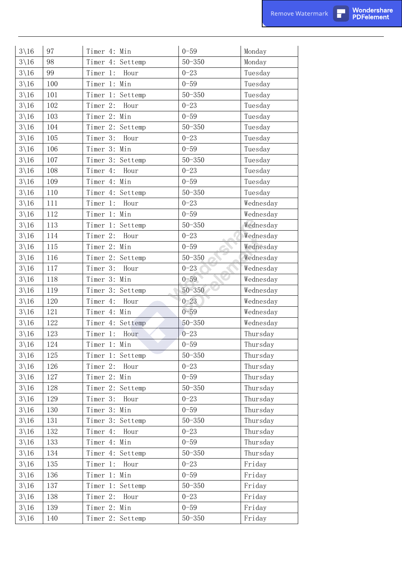| $3\backslash16$  | 97  | Timer 4: Min     | $0 - 59$   | Monday    |
|------------------|-----|------------------|------------|-----------|
| $3\backslash16$  | 98  | Timer 4: Settemp | $50 - 350$ | Monday    |
| $3\backslash16$  | 99  | Timer 1:<br>Hour | $0 - 23$   | Tuesday   |
| $3\backslash16$  | 100 | Timer 1: Min     | $0 - 59$   | Tuesday   |
| $3\backslash16$  | 101 | Timer 1: Settemp | $50 - 350$ | Tuesday   |
| $3\backslash16$  | 102 | Timer 2:<br>Hour | $0 - 23$   | Tuesday   |
| $3\backslash16$  | 103 | Timer 2: Min     | $0 - 59$   | Tuesday   |
| $3\backslash 16$ | 104 | Timer 2: Settemp | $50 - 350$ | Tuesday   |
| $3\backslash 16$ | 105 | Timer 3:<br>Hour | $0 - 23$   | Tuesday   |
| $3\backslash16$  | 106 | Timer 3: Min     | $0 - 59$   | Tuesday   |
| $3\backslash 16$ | 107 | Timer 3: Settemp | $50 - 350$ | Tuesday   |
| $3\backslash16$  | 108 | Timer 4:<br>Hour | $0 - 23$   | Tuesday   |
| $3\backslash16$  | 109 | Timer 4: Min     | $0 - 59$   | Tuesday   |
| $3\backslash 16$ | 110 | Timer 4: Settemp | $50 - 350$ | Tuesday   |
| $3\backslash16$  | 111 | Timer 1:<br>Hour | $0 - 23$   | Wednesday |
| $3\backslash16$  | 112 | Timer 1: Min     | $0 - 59$   | Wednesday |
| $3\backslash16$  | 113 | Timer 1: Settemp | $50 - 350$ | Wednesday |
| $3\backslash16$  | 114 | Timer 2:<br>Hour | $0 - 23$   | Wednesday |
| $3\backslash16$  | 115 | Timer 2: Min     | $0 - 59$   | Wednesday |
| $3\backslash16$  | 116 | Timer 2: Settemp | $50 - 350$ | Wednesday |
| $3\backslash16$  | 117 | Timer 3:<br>Hour | $0 - 23$   | Wednesday |
| $3\backslash16$  | 118 | Timer 3: Min     | $0 - 59$   | Wednesday |
| $3\backslash16$  | 119 | Timer 3: Settemp | $50 - 350$ | Wednesday |
| $3\backslash 16$ | 120 | Timer 4:<br>Hour | $0 - 23$   | Wednesday |
| $3\backslash16$  | 121 | Timer 4: Min     | $0 - 59$   | Wednesday |
| $3\backslash16$  | 122 | Timer 4: Settemp | $50 - 350$ | Wednesday |
| $3\backslash 16$ | 123 | Timer 1:<br>Hour | $0 - 23$   | Thursday  |
| $3\backslash 16$ | 124 | Timer 1: Min     | $0 - 59$   | Thursday  |
| $3\backslash 16$ | 125 | Timer 1: Settemp | $50 - 350$ | Thursday  |
| $3\backslash16$  | 126 | Timer 2: Hour    | $0 - 23$   | Thursday  |
| $3\backslash16$  | 127 | Timer 2: Min     | $0 - 59$   | Thursday  |
| $3\backslash16$  | 128 | Timer 2: Settemp | $50 - 350$ | Thursday  |
| $3\backslash16$  | 129 | Timer 3:<br>Hour | $0 - 23$   | Thursday  |
| $3\backslash16$  | 130 | Timer 3: Min     | $0 - 59$   | Thursday  |
| $3\backslash16$  | 131 | Timer 3: Settemp | $50 - 350$ | Thursday  |
| $3\backslash16$  | 132 | Timer 4:<br>Hour | $0 - 23$   | Thursday  |
| $3\backslash16$  | 133 | Timer 4: Min     | $0 - 59$   | Thursday  |
| $3\backslash16$  | 134 | Timer 4: Settemp | $50 - 350$ | Thursday  |
| $3\backslash 16$ | 135 | Timer 1:<br>Hour | $0 - 23$   | Friday    |
| $3\backslash 16$ | 136 | Timer 1: Min     | $0 - 59$   | Friday    |
| $3\backslash16$  | 137 | Timer 1: Settemp | $50 - 350$ | Friday    |
| $3\backslash16$  | 138 | Timer 2:<br>Hour | $0 - 23$   | Friday    |
| $3\backslash16$  | 139 | Timer 2: Min     | $0 - 59$   | Friday    |
| $3\backslash 16$ | 140 | Timer 2: Settemp | $50 - 350$ | Friday    |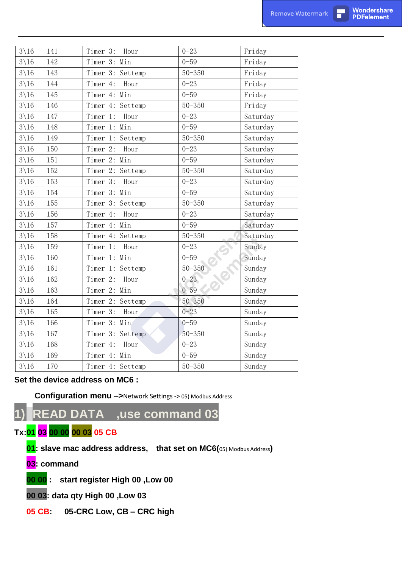| $3\backslash16$  | 141 | Timer 3: Hour    | $0 - 23$   | Friday   |
|------------------|-----|------------------|------------|----------|
| $3\backslash16$  | 142 | Timer 3: Min     | $0 - 59$   | Friday   |
| $3\backslash16$  | 143 | Timer 3: Settemp | $50 - 350$ | Friday   |
| $3\backslash16$  | 144 | Timer 4:<br>Hour | $0 - 23$   | Friday   |
| $3\backslash16$  | 145 | Timer 4: Min     | $0 - 59$   | Friday   |
| $3\backslash 16$ | 146 | Timer 4: Settemp | $50 - 350$ | Friday   |
| $3\backslash 16$ | 147 | Timer 1:<br>Hour | $0 - 23$   | Saturday |
| $3\backslash16$  | 148 | Timer 1: Min     | $0 - 59$   | Saturday |
| $3\backslash16$  | 149 | Timer 1: Settemp | $50 - 350$ | Saturday |
| $3\backslash16$  | 150 | Timer 2:<br>Hour | $0 - 23$   | Saturday |
| $3\backslash16$  | 151 | Timer 2: Min     | $0 - 59$   | Saturday |
| $3\backslash16$  | 152 | Timer 2: Settemp | $50 - 350$ | Saturday |
| $3\backslash 16$ | 153 | Timer 3:<br>Hour | $0 - 23$   | Saturday |
| $3\backslash16$  | 154 | Timer 3: Min     | $0 - 59$   | Saturday |
| $3\backslash 16$ | 155 | Timer 3: Settemp | $50 - 350$ | Saturday |
| $3\backslash 16$ | 156 | Timer 4:<br>Hour | $0 - 23$   | Saturday |
| $3\backslash 16$ | 157 | Timer 4: Min     | $0 - 59$   | Saturday |
| $3\backslash 16$ | 158 | Timer 4: Settemp | $50 - 350$ | Saturday |
| $3\backslash16$  | 159 | Timer 1:<br>Hour | $0 - 23$   | Sunday   |
| $3\backslash16$  | 160 | Timer 1: Min     | $0 - 59$   | Sunday   |
| $3\backslash16$  | 161 | Timer 1: Settemp | $50 - 350$ | Sunday   |
| $3\backslash 16$ | 162 | Timer 2:<br>Hour | $0 - 23$   | Sunday   |
| $3\backslash 16$ | 163 | Timer 2: Min     | $0 - 59$   | Sunday   |
| $3\backslash 16$ | 164 | Timer 2: Settemp | $50 - 350$ | Sunday   |
| $3\backslash16$  | 165 | Timer 3:<br>Hour | $0 - 23$   | Sunday   |
| $3\backslash16$  | 166 | Timer 3: Min     | $0 - 59$   | Sunday   |
| $3\backslash16$  | 167 | Timer 3: Settemp | $50 - 350$ | Sunday   |
| $3\backslash 16$ | 168 | Timer 4:<br>Hour | $0 - 23$   | Sunday   |
| $3\backslash16$  | 169 | Timer 4: Min     | $0 - 59$   | Sunday   |
| $3\backslash16$  | 170 | Timer 4: Settemp | $50 - 350$ | Sunday   |

#### **Set the device address on MC6 :**

 **Configuration menu –>**Network Settings -> 05) Modbus Address

# **1) READ DATA ,use command 03**

## **Tx:01 03 00 00 00 03 05 CB**

- **01**: slave mac address address, that set on MC6(05) Modbus Address)
- **03: command**
- **00 00 : start register High 00 ,Low 00**
- **00 03: data qty High 00 ,Low 03**
- **05 CB: 05-CRC Low, CB – CRC high**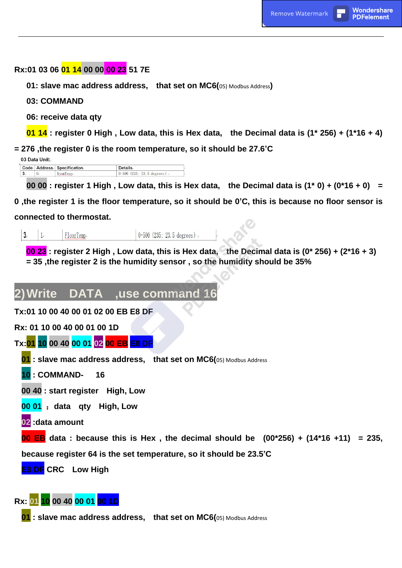**Rx:01 03 06 01 14 00 00 00 23 51 7E**

 **01: slave mac address address, that set on MC6(**05) Modbus Address**)**

 **03: COMMAND**

 **06: receive data qty**

 **01 14 : register 0 High , Low data, this is Hex data, the Decimal data is (1\* 256) + (1\*16 + 4)** 

**= 276 ,the register 0 is the room temperature, so it should be 27.6'C**

03 Data Unit:

Code Address Specification Details  $\overline{3}$  $\alpha$  $0-500$  (235: 23.5 degrees)

**00 00** : register 1 High, Low data, this is Hex data, the Decimal data is  $(1^* 0) + (0^* 16 + 0) =$ 

**0 ,the register 1 is the floor temperature, so it should be 0'C, this is because no floor sensor is** 

**connected to thermostat.**

 $\overline{3}$  $0-500$   $(235: 23.5$  degrees).  $\vert$  1. FloorTemp

**00 23 : register 2 High , Low data, this is Hex data, the Decimal data is (0\* 256) + (2\*16 + 3) = 35 ,the register 2 is the humidity sensor , so the humidity should be 35%**

## **2)Write DATA ,use command 16**

**Tx:01 10 00 40 00 01 02 00 EB E8 DF**

**Rx: 01 10 00 40 00 01 00 1D**

**Tx:01 10 00 40 00 01 02 00 EB E8 DF**

**01** : slave mac address address, that set on MC6(05) Modbus Address

**10 : COMMAND- 16**

**00 40 : start register High, Low**

**00 01** :**data qty High, Low**

**02 :data amount**

**00 EB data : because this is Hex , the decimal should be (00\*256) + (14\*16 +11) = 235, because register 64 is the set temperature, so it should be 23.5'C** 

**E8 DF CRC Low High**

## **Rx: 01 10 00 40 00 01 00 1D**

**01** : slave mac address address, that set on MC6(05) Modbus Address